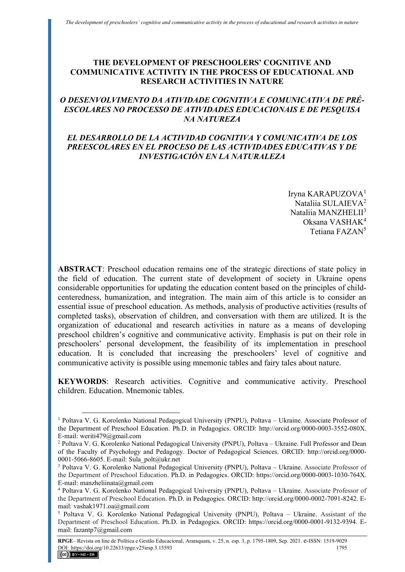# **THE DEVELOPMENT OF PRESCHOOLERS' COGNITIVE AND COMMUNICATIVE ACTIVITY IN THE PROCESS OF EDUCATIONAL AND RESEARCH ACTIVITIES IN NATURE**

# *O DESENVOLVIMENTO DA ATIVIDADE COGNITIVA E COMUNICATIVA DE PRÉ-ESCOLARES NO PROCESSO DE ATIVIDADES EDUCACIONAIS E DE PESQUISA NA NATUREZA*

# *EL DESARROLLO DE LA ACTIVIDAD COGNITIVA Y COMUNICATIVA DE LOS PREESCOLARES EN EL PROCESO DE LAS ACTIVIDADES EDUCATIVAS Y DE INVESTIGACIÓN EN LA NATURALEZA*

Iryna KARAPUZOVA<sup>1</sup> Nataliia SULAIEVA<sup>2</sup> Nataliia MANZHELII<sup>3</sup> Oksana VASHAK<sup>4</sup> Tetiana FAZAN<sup>5</sup>

**ABSTRACT**: Preschool education remains one of the strategic directions of state policy in the field of education. The current state of development of society in Ukraine opens considerable opportunities for updating the education content based on the principles of childcenteredness, humanization, and integration. The main aim of this article is to consider an essential issue of preschool education. As methods, analysis of productive activities (results of completed tasks), observation of children, and conversation with them are utilized. It is the organization of educational and research activities in nature as a means of developing preschool children's cognitive and communicative activity. Emphasis is put on their role in preschoolers' personal development, the feasibility of its implementation in preschool education. It is concluded that increasing the preschoolers' level of cognitive and communicative activity is possible using mnemonic tables and fairy tales about nature.

**KEYWORDS**: Research activities. Cognitive and communicative activity. Preschool children. Education. Mnemonic tables.

<sup>&</sup>lt;sup>1</sup> Poltava V. G. Korolenko National Pedagogical University (PNPU), Poltava - Ukraine. Associate Professor of the Department of Preschool Education. Ph.D. in Pedagogics. ORСID: http://orcid.org/0000-0003-3552-080X. E-mail[: weriti479@gmail.com](mailto:weriti479@gmail.com) 

<sup>&</sup>lt;sup>2</sup> Poltava V. G. Korolenko National Pedagogical University (PNPU), Poltava – Ukraine. Full Professor and Dean of the Faculty of Psychology and Pedagogy. Doctor of Pedagogical Sciences. ORСID: http://orcid.org/0000- 0001-5066-8605. E-mail: Sula\_polt@ukr.net

<sup>&</sup>lt;sup>3</sup> Poltava V. G. Korolenko National Pedagogical University (PNPU), Poltava - Ukraine. Associate Professor of the Department of Preschool Education. Ph.D. in Pedagogics. ORСID: https://orcid.org/0000-0003-1030-764X. E-mail[: manzheliinata@gmail.com](mailto:manzheliinata@gmail.com)

<sup>4</sup> Poltava V. G. Korolenko National Pedagogical University (PNPU), Poltava – Ukraine. Associate Professor of the Department of Preschool Education. Ph.D. in Pedagogics. ORСID: http://orcid.org/0000-0002-7091-8242. Email: [vashak1971.oa@gmail.com](mailto:vashak1971.oa@gmail.com) 

<sup>&</sup>lt;sup>5</sup> Poltava V. G. Korolenko National Pedagogical University (PNPU), Poltava - Ukraine. Assistant of the Department of Preschool Education. Ph.D. in Pedagogics. ORСID: https://orcid.org/0000-0001-9132-9394. Email: fazantp7@gmail.com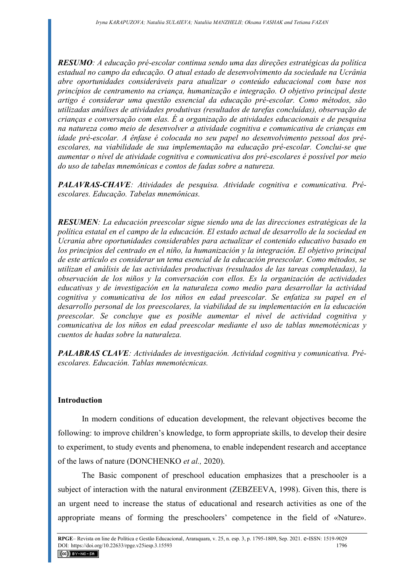*RESUMO: A educação pré-escolar continua sendo uma das direções estratégicas da política estadual no campo da educação. O atual estado de desenvolvimento da sociedade na Ucrânia abre oportunidades consideráveis para atualizar o conteúdo educacional com base nos princípios de centramento na criança, humanização e integração. O objetivo principal deste artigo é considerar uma questão essencial da educação pré-escolar. Como métodos, são utilizadas análises de atividades produtivas (resultados de tarefas concluídas), observação de crianças e conversação com elas. É a organização de atividades educacionais e de pesquisa na natureza como meio de desenvolver a atividade cognitiva e comunicativa de crianças em idade pré-escolar. A ênfase é colocada no seu papel no desenvolvimento pessoal dos préescolares, na viabilidade de sua implementação na educação pré-escolar. Conclui-se que aumentar o nível de atividade cognitiva e comunicativa dos pré-escolares é possível por meio do uso de tabelas mnemônicas e contos de fadas sobre a natureza.* 

*PALAVRAS-CHAVE: Atividades de pesquisa. Atividade cognitiva e comunicativa. Préescolares. Educação. Tabelas mnemônicas.* 

*RESUMEN: La educación preescolar sigue siendo una de las direcciones estratégicas de la política estatal en el campo de la educación. El estado actual de desarrollo de la sociedad en Ucrania abre oportunidades considerables para actualizar el contenido educativo basado en los principios del centrado en el niño, la humanización y la integración. El objetivo principal de este artículo es considerar un tema esencial de la educación preescolar. Como métodos, se utilizan el análisis de las actividades productivas (resultados de las tareas completadas), la observación de los niños y la conversación con ellos. Es la organización de actividades educativas y de investigación en la naturaleza como medio para desarrollar la actividad cognitiva y comunicativa de los niños en edad preescolar. Se enfatiza su papel en el desarrollo personal de los preescolares, la viabilidad de su implementación en la educación preescolar. Se concluye que es posible aumentar el nivel de actividad cognitiva y comunicativa de los niños en edad preescolar mediante el uso de tablas mnemotécnicas y cuentos de hadas sobre la naturaleza.* 

*PALABRAS CLAVE: Actividades de investigación. Actividad cognitiva y comunicativa. Préescolares. Educación. Tablas mnemotécnicas.* 

# **Introduction**

In modern conditions of education development, the relevant objectives become the following: to improve children's knowledge, to form appropriate skills, to develop their desire to experiment, to study events and phenomena, to enable independent research and acceptance of the laws of nature (DONCHENKO *et al.,* 2020).

The Basic component of preschool education emphasizes that a preschooler is a subject of interaction with the natural environment (ZEBZEEVA, 1998). Given this, there is an urgent need to increase the status of educational and research activities as one of the appropriate means of forming the preschoolers' competence in the field of «Nature».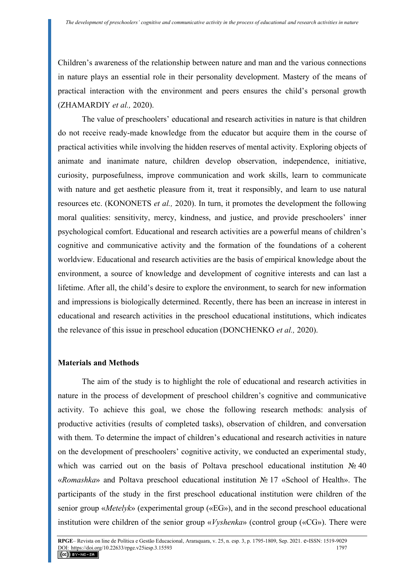Children's awareness of the relationship between nature and man and the various connections in nature plays an essential role in their personality development. Mastery of the means of practical interaction with the environment and peers ensures the child's personal growth (ZHAMARDIY *et al.,* 2020).

The value of preschoolers' educational and research activities in nature is that children do not receive ready-made knowledge from the educator but acquire them in the course of practical activities while involving the hidden reserves of mental activity. Exploring objects of animate and inanimate nature, children develop observation, independence, initiative, curiosity, purposefulness, improve communication and work skills, learn to communicate with nature and get aesthetic pleasure from it, treat it responsibly, and learn to use natural resources etc. (KONONETS *et al.,* 2020). In turn, it promotes the development the following moral qualities: sensitivity, mercy, kindness, and justice, and provide preschoolers' inner psychological comfort. Educational and research activities are a powerful means of children's cognitive and communicative activity and the formation of the foundations of a coherent worldview. Educational and research activities are the basis of empirical knowledge about the environment, a source of knowledge and development of cognitive interests and can last a lifetime. After all, the child's desire to explore the environment, to search for new information and impressions is biologically determined. Recently, there has been an increase in interest in educational and research activities in the preschool educational institutions, which indicates the relevance of this issue in preschool education (DONCHENKO *et al.,* 2020).

# **Materials and Methods**

The aim of the study is to highlight the role of educational and research activities in nature in the process of development of preschool children's cognitive and communicative activity. To achieve this goal, we chose the following research methods: analysis of productive activities (results of completed tasks), observation of children, and conversation with them. To determine the impact of children's educational and research activities in nature on the development of preschoolers' cognitive activity, we conducted an experimental study, which was carried out on the basis of Poltava preschool educational institution № 40 «*Romashka*» and Poltava preschool educational institution № 17 «School of Health». The participants of the study in the first preschool educational institution were children of the senior group «*Metelyk*» (experimental group («EG»), and in the second preschool educational institution were children of the senior group «*Vyshenka*» (control group («CG»). There were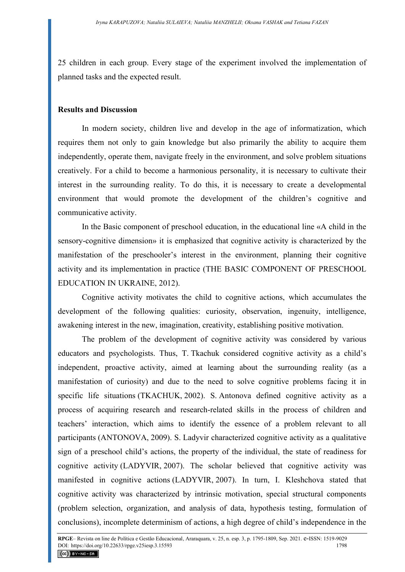25 children in each group. Every stage of the experiment involved the implementation of planned tasks and the expected result.

#### **Results and Discussion**

In modern society, children live and develop in the age of informatization, which requires them not only to gain knowledge but also primarily the ability to acquire them independently, operate them, navigate freely in the environment, and solve problem situations creatively. For a child to become a harmonious personality, it is necessary to cultivate their interest in the surrounding reality. To do this, it is necessary to create a developmental environment that would promote the development of the children's cognitive and communicative activity.

In the Basic component of preschool education, in the educational line «A child in the sensory-cognitive dimension» it is emphasized that cognitive activity is characterized by the manifestation of the preschooler's interest in the environment, planning their cognitive activity and its implementation in practice (THE BASIC COMPONENT OF PRESCHOOL EDUCATION IN UKRAINE, 2012).

Cognitive activity motivates the child to cognitive actions, which accumulates the development of the following qualities: curiosity, observation, ingenuity, intelligence, awakening interest in the new, imagination, creativity, establishing positive motivation.

The problem of the development of cognitive activity was considered by various educators and psychologists. Thus, T. Tkachuk considered cognitive activity as a child's independent, proactive activity, aimed at learning about the surrounding reality (as a manifestation of curiosity) and due to the need to solve cognitive problems facing it in specific life situations (TKACHUK, 2002). S. Antonova defined cognitive activity as a process of acquiring research and research-related skills in the process of children and teachers' interaction, which aims to identify the essence of a problem relevant to all participants (ANTONOVA, 2009). S. Ladyvir characterized cognitive activity as a qualitative sign of a preschool child's actions, the property of the individual, the state of readiness for cognitive activity (LADYVIR, 2007). The scholar believed that cognitive activity was manifested in cognitive actions (LADYVIR, 2007). In turn, I. Kleshchova stated that cognitive activity was characterized by intrinsic motivation, special structural components (problem selection, organization, and analysis of data, hypothesis testing, formulation of conclusions), incomplete determinism of actions, a high degree of child's independence in the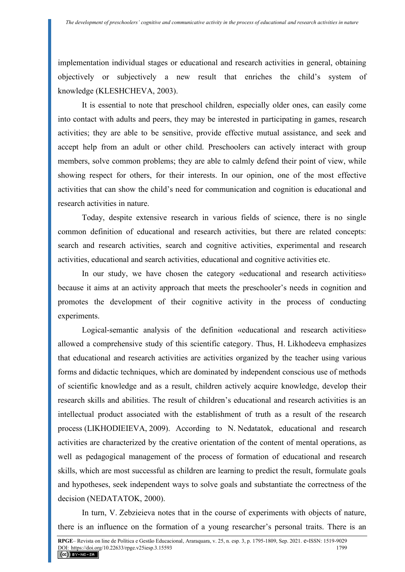implementation individual stages or educational and research activities in general, obtaining objectively or subjectively a new result that enriches the child's system of knowledge (KLESHCHEVA, 2003).

It is essential to note that preschool children, especially older ones, can easily come into contact with adults and peers, they may be interested in participating in games, research activities; they are able to be sensitive, provide effective mutual assistance, and seek and accept help from an adult or other child. Preschoolers can actively interact with group members, solve common problems; they are able to calmly defend their point of view, while showing respect for others, for their interests. In our opinion, one of the most effective activities that can show the child's need for communication and cognition is educational and research activities in nature.

Today, despite extensive research in various fields of science, there is no single common definition of educational and research activities, but there are related concepts: search and research activities, search and cognitive activities, experimental and research activities, educational and search activities, educational and cognitive activities etc.

In our study, we have chosen the category «educational and research activities» because it aims at an activity approach that meets the preschooler's needs in cognition and promotes the development of their cognitive activity in the process of conducting experiments.

Logical-semantic analysis of the definition «educational and research activities» allowed a comprehensive study of this scientific category. Thus, H. Likhodeeva emphasizes that educational and research activities are activities organized by the teacher using various forms and didactic techniques, which are dominated by independent conscious use of methods of scientific knowledge and as a result, children actively acquire knowledge, develop their research skills and abilities. The result of children's educational and research activities is an intellectual product associated with the establishment of truth as a result of the research process (LIKHODIEIEVA, 2009). According to N. Nedatatok, educational and research activities are characterized by the creative orientation of the content of mental operations, as well as pedagogical management of the process of formation of educational and research skills, which are most successful as children are learning to predict the result, formulate goals and hypotheses, seek independent ways to solve goals and substantiate the correctness of the decision (NEDATATOK, 2000).

In turn, V. Zebzieieva notes that in the course of experiments with objects of nature, there is an influence on the formation of a young researcher's personal traits. There is an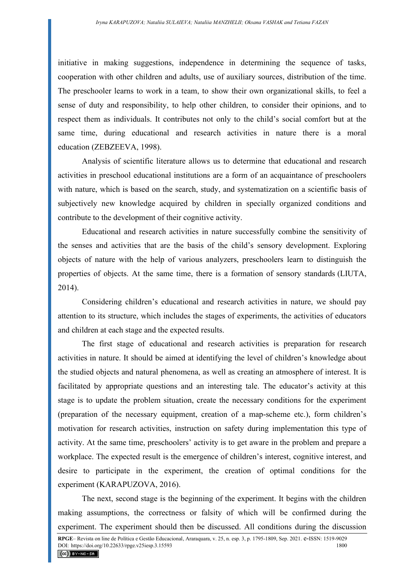initiative in making suggestions, independence in determining the sequence of tasks, cooperation with other children and adults, use of auxiliary sources, distribution of the time. The preschooler learns to work in a team, to show their own organizational skills, to feel a sense of duty and responsibility, to help other children, to consider their opinions, and to respect them as individuals. It contributes not only to the child's social comfort but at the same time, during educational and research activities in nature there is a moral education (ZEBZEEVA, 1998).

Analysis of scientific literature allows us to determine that educational and research activities in preschool educational institutions are a form of an acquaintance of preschoolers with nature, which is based on the search, study, and systematization on a scientific basis of subjectively new knowledge acquired by children in specially organized conditions and contribute to the development of their cognitive activity.

Educational and research activities in nature successfully combine the sensitivity of the senses and activities that are the basis of the child's sensory development. Exploring objects of nature with the help of various analyzers, preschoolers learn to distinguish the properties of objects. At the same time, there is a formation of sensory standards (LIUTA, 2014).

Considering children's educational and research activities in nature, we should pay attention to its structure, which includes the stages of experiments, the activities of educators and children at each stage and the expected results.

The first stage of educational and research activities is preparation for research activities in nature. It should be aimed at identifying the level of children's knowledge about the studied objects and natural phenomena, as well as creating an atmosphere of interest. It is facilitated by appropriate questions and an interesting tale. The educator's activity at this stage is to update the problem situation, create the necessary conditions for the experiment (preparation of the necessary equipment, creation of a map-scheme etc.), form children's motivation for research activities, instruction on safety during implementation this type of activity. At the same time, preschoolers' activity is to get aware in the problem and prepare a workplace. The expected result is the emergence of children's interest, cognitive interest, and desire to participate in the experiment, the creation of optimal conditions for the experiment (KARAPUZOVA, 2016).

The next, second stage is the beginning of the experiment. It begins with the children making assumptions, the correctness or falsity of which will be confirmed during the experiment. The experiment should then be discussed. All conditions during the discussion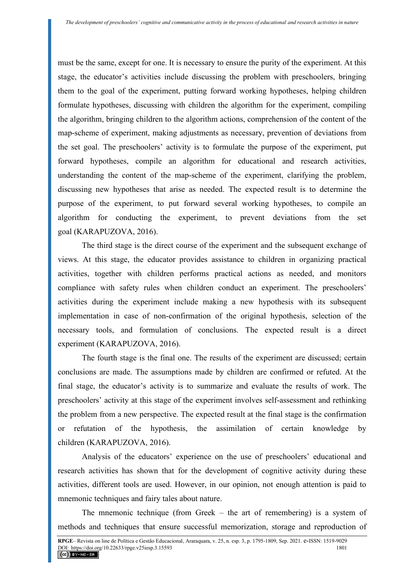must be the same, except for one. It is necessary to ensure the purity of the experiment. At this stage, the educator's activities include discussing the problem with preschoolers, bringing them to the goal of the experiment, putting forward working hypotheses, helping children formulate hypotheses, discussing with children the algorithm for the experiment, compiling the algorithm, bringing children to the algorithm actions, comprehension of the content of the map-scheme of experiment, making adjustments as necessary, prevention of deviations from the set goal. The preschoolers' activity is to formulate the purpose of the experiment, put forward hypotheses, compile an algorithm for educational and research activities, understanding the content of the map-scheme of the experiment, clarifying the problem, discussing new hypotheses that arise as needed. The expected result is to determine the purpose of the experiment, to put forward several working hypotheses, to compile an algorithm for conducting the experiment, to prevent deviations from the set goal (KARAPUZOVA, 2016).

The third stage is the direct course of the experiment and the subsequent exchange of views. At this stage, the educator provides assistance to children in organizing practical activities, together with children performs practical actions as needed, and monitors compliance with safety rules when children conduct an experiment. The preschoolers' activities during the experiment include making a new hypothesis with its subsequent implementation in case of non-confirmation of the original hypothesis, selection of the necessary tools, and formulation of conclusions. The expected result is a direct experiment (KARAPUZOVA, 2016).

The fourth stage is the final one. The results of the experiment are discussed; certain conclusions are made. The assumptions made by children are confirmed or refuted. At the final stage, the educator's activity is to summarize and evaluate the results of work. The preschoolers' activity at this stage of the experiment involves self-assessment and rethinking the problem from a new perspective. The expected result at the final stage is the confirmation or refutation of the hypothesis, the assimilation of certain knowledge by children (KARAPUZOVA, 2016).

Analysis of the educators' experience on the use of preschoolers' educational and research activities has shown that for the development of cognitive activity during these activities, different tools are used. However, in our opinion, not enough attention is paid to mnemonic techniques and fairy tales about nature.

The mnemonic technique (from Greek – the art of remembering) is a system of methods and techniques that ensure successful memorization, storage and reproduction of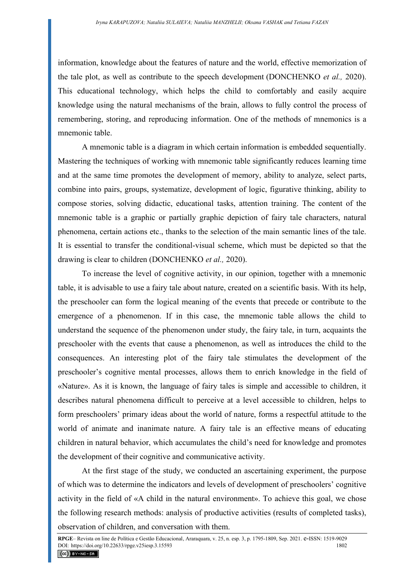information, knowledge about the features of nature and the world, effective memorization of the tale plot, as well as contribute to the speech development (DONCHENKO *et al.,* 2020). This educational technology, which helps the child to comfortably and easily acquire knowledge using the natural mechanisms of the brain, allows to fully control the process of remembering, storing, and reproducing information. One of the methods of mnemonics is a mnemonic table.

A mnemonic table is a diagram in which certain information is embedded sequentially. Mastering the techniques of working with mnemonic table significantly reduces learning time and at the same time promotes the development of memory, ability to analyze, select parts, combine into pairs, groups, systematize, development of logic, figurative thinking, ability to compose stories, solving didactic, educational tasks, attention training. The content of the mnemonic table is a graphic or partially graphic depiction of fairy tale characters, natural phenomena, certain actions etc., thanks to the selection of the main semantic lines of the tale. It is essential to transfer the conditional-visual scheme, which must be depicted so that the drawing is clear to children (DONCHENKO *et al.,* 2020).

To increase the level of cognitive activity, in our opinion, together with a mnemonic table, it is advisable to use a fairy tale about nature, created on a scientific basis. With its help, the preschooler can form the logical meaning of the events that precede or contribute to the emergence of a phenomenon. If in this case, the mnemonic table allows the child to understand the sequence of the phenomenon under study, the fairy tale, in turn, acquaints the preschooler with the events that cause a phenomenon, as well as introduces the child to the consequences. An interesting plot of the fairy tale stimulates the development of the preschooler's cognitive mental processes, allows them to enrich knowledge in the field of «Nature». As it is known, the language of fairy tales is simple and accessible to children, it describes natural phenomena difficult to perceive at a level accessible to children, helps to form preschoolers' primary ideas about the world of nature, forms a respectful attitude to the world of animate and inanimate nature. A fairy tale is an effective means of educating children in natural behavior, which accumulates the child's need for knowledge and promotes the development of their cognitive and communicative activity.

At the first stage of the study, we conducted an ascertaining experiment, the purpose of which was to determine the indicators and levels of development of preschoolers' cognitive activity in the field of «A child in the natural environment». To achieve this goal, we chose the following research methods: analysis of productive activities (results of completed tasks), observation of children, and conversation with them.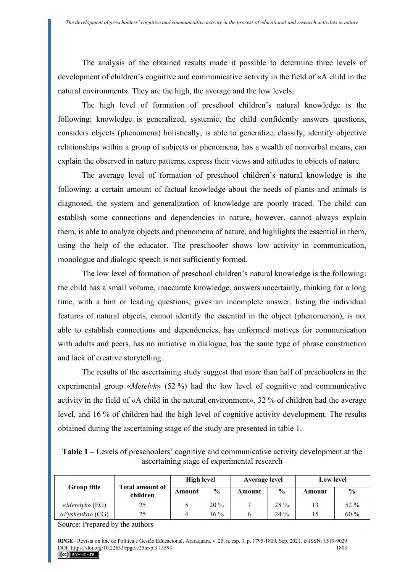The analysis of the obtained results made it possible to determine three levels of development of children's cognitive and communicative activity in the field of «A child in the natural environment». They are the high, the average and the low levels.

The high level of formation of preschool children's natural knowledge is the following: knowledge is generalized, systemic, the child confidently answers questions, considers objects (phenomena) holistically, is able to generalize, classify, identify objective relationships within a group of subjects or phenomena, has a wealth of nonverbal means, can explain the observed in nature patterns, express their views and attitudes to objects of nature.

The average level of formation of preschool children's natural knowledge is the following: a certain amount of factual knowledge about the needs of plants and animals is diagnosed, the system and generalization of knowledge are poorly traced. The child can establish some connections and dependencies in nature, however, cannot always explain them, is able to analyze objects and phenomena of nature, and highlights the essential in them, using the help of the educator. The preschooler shows low activity in communication, monologue and dialogic speech is not sufficiently formed.

The low level of formation of preschool children's natural knowledge is the following: the child has a small volume, inaccurate knowledge, answers uncertainly, thinking for a long time, with a hint or leading questions, gives an incomplete answer, listing the individual features of natural objects, cannot identify the essential in the object (phenomenon), is not able to establish connections and dependencies, has unformed motives for communication with adults and peers, has no initiative in dialogue, has the same type of phrase construction and lack of creative storytelling.

The results of the ascertaining study suggest that more than half of preschoolers in the experimental group «*Metelyk*» (52 %) had the low level of cognitive and communicative activity in the field of «A child in the natural environment», 32 % of children had the average level, and 16 % of children had the high level of cognitive activity development. The results obtained during the ascertaining stage of the study are presented in table 1.

| <b>Table 1</b> – Levels of preschoolers' cognitive and communicative activity development at the |  |  |  |  |  |  |  |
|--------------------------------------------------------------------------------------------------|--|--|--|--|--|--|--|
| ascertaining stage of experimental research                                                      |  |  |  |  |  |  |  |

|                                 |                             | <b>High level</b> |               | Average level |               | <b>Low level</b> |               |
|---------------------------------|-----------------------------|-------------------|---------------|---------------|---------------|------------------|---------------|
| <b>Group title</b>              | Total amount of<br>children | Amount            | $\frac{0}{0}$ | Amount        | $\frac{6}{9}$ | Amount           | $\frac{0}{0}$ |
| $\langle$ <i>Metelyk</i> » (EG) | 25                          |                   | $20\%$        | −             | $28 \%$       | 13               | 52 %          |
| $\langle$ Vyshenka» (CG)        | 25                          |                   | $16\%$        |               | $24\%$        | 15               | $60\%$        |

Source: Prepared by the authors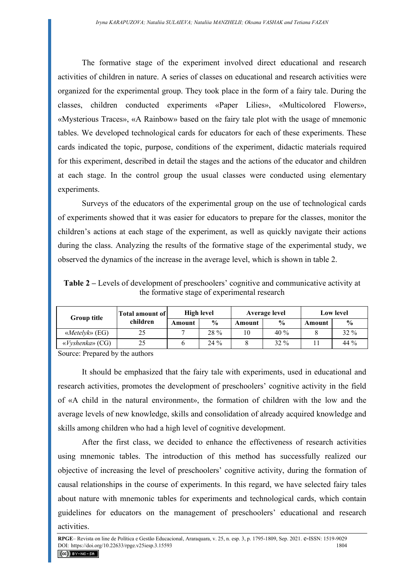The formative stage of the experiment involved direct educational and research activities of children in nature. A series of classes on educational and research activities were organized for the experimental group. They took place in the form of a fairy tale. During the classes, children conducted experiments «Paper Lilies», «Multicolored Flowers», «Mysterious Traces», «A Rainbow» based on the fairy tale plot with the usage of mnemonic tables. We developed technological cards for educators for each of these experiments. These cards indicated the topic, purpose, conditions of the experiment, didactic materials required for this experiment, described in detail the stages and the actions of the educator and children at each stage. In the control group the usual classes were conducted using elementary experiments.

Surveys of the educators of the experimental group on the use of technological cards of experiments showed that it was easier for educators to prepare for the classes, monitor the children's actions at each stage of the experiment, as well as quickly navigate their actions during the class. Analyzing the results of the formative stage of the experimental study, we observed the dynamics of the increase in the average level, which is shown in table 2.

**Table 2 –** Levels of development of preschoolers' cognitive and communicative activity at the formative stage of experimental research

| <b>Group title</b>       | Total amount of | <b>High level</b> |               | Average level |               | <b>Low level</b> |               |
|--------------------------|-----------------|-------------------|---------------|---------------|---------------|------------------|---------------|
|                          | children        | Amount            | $\frac{0}{0}$ | Amount        | $\frac{0}{0}$ | Amount           | $\frac{0}{0}$ |
| «Metelyk» (EG)           | 25              |                   | $28\%$        | 10            | 40%           |                  | $32\%$        |
| $\langle$ Vyshenka» (CG) | 25              |                   | $24\%$        |               | $32\%$        |                  | 44 $\%$       |

Source: Prepared by the authors

It should be emphasized that the fairy tale with experiments, used in educational and research activities, promotes the development of preschoolers' cognitive activity in the field of «A child in the natural environment», the formation of children with the low and the average levels of new knowledge, skills and consolidation of already acquired knowledge and skills among children who had a high level of cognitive development.

After the first class, we decided to enhance the effectiveness of research activities using mnemonic tables. The introduction of this method has successfully realized our objective of increasing the level of preschoolers' cognitive activity, during the formation of causal relationships in the course of experiments. In this regard, we have selected fairy tales about nature with mnemonic tables for experiments and technological cards, which contain guidelines for educators on the management of preschoolers' educational and research activities.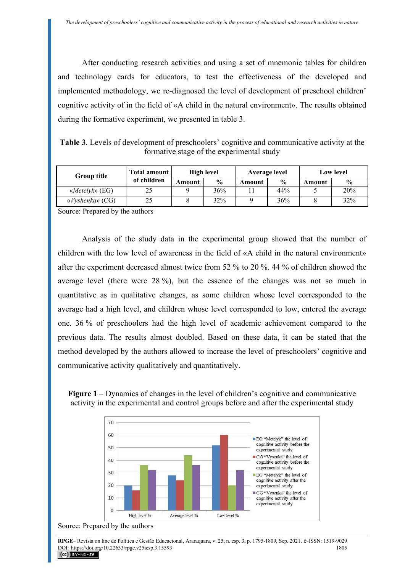After conducting research activities and using a set of mnemonic tables for children and technology cards for educators, to test the effectiveness of the developed and implemented methodology, we re-diagnosed the level of development of preschool children' cognitive activity of in the field of «A child in the natural environment». The results obtained during the formative experiment, we presented in table 3.

**Table 3**. Levels of development of preschoolers' cognitive and communicative activity at the formative stage of the experimental study

| <b>Group title</b>       | <b>Total amount</b> | High level |               | Average level |               | <b>Low level</b> |               |
|--------------------------|---------------------|------------|---------------|---------------|---------------|------------------|---------------|
|                          | of children         | Amount     | $\frac{6}{6}$ | Amount        | $\frac{0}{0}$ | Amount           | $\frac{0}{0}$ |
| «Metelyk» (EG)           | 25                  |            | 36%           |               | 44%           |                  | 20%           |
| $\langle$ Vyshenka» (CG) | 25                  |            | 32%           |               | 36%           |                  | 32%           |

Source: Prepared by the authors

Analysis of the study data in the experimental group showed that the number of children with the low level of awareness in the field of «A child in the natural environment» after the experiment decreased almost twice from 52 % to 20 %. 44 % of children showed the average level (there were 28 %), but the essence of the changes was not so much in quantitative as in qualitative changes, as some children whose level corresponded to the average had a high level, and children whose level corresponded to low, entered the average one. 36 % of preschoolers had the high level of academic achievement compared to the previous data. The results almost doubled. Based on these data, it can be stated that the method developed by the authors allowed to increase the level of preschoolers' cognitive and communicative activity qualitatively and quantitatively.





Source: Prepared by the authors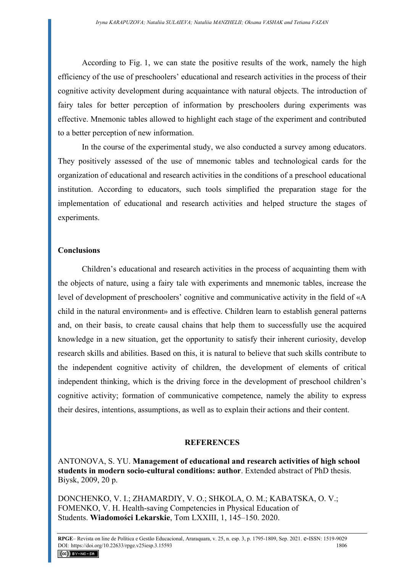According to Fig. 1, we can state the positive results of the work, namely the high efficiency of the use of preschoolers' educational and research activities in the process of their cognitive activity development during acquaintance with natural objects. The introduction of fairy tales for better perception of information by preschoolers during experiments was effective. Mnemonic tables allowed to highlight each stage of the experiment and contributed to a better perception of new information.

In the course of the experimental study, we also conducted a survey among educators. They positively assessed of the use of mnemonic tables and technological cards for the organization of educational and research activities in the conditions of a preschool educational institution. According to educators, such tools simplified the preparation stage for the implementation of educational and research activities and helped structure the stages of experiments.

#### **Conclusions**

Children's educational and research activities in the process of acquainting them with the objects of nature, using a fairy tale with experiments and mnemonic tables, increase the level of development of preschoolers' cognitive and communicative activity in the field of «A child in the natural environment» and is effective. Children learn to establish general patterns and, on their basis, to create causal chains that help them to successfully use the acquired knowledge in a new situation, get the opportunity to satisfy their inherent curiosity, develop research skills and abilities. Based on this, it is natural to believe that such skills contribute to the independent cognitive activity of children, the development of elements of critical independent thinking, which is the driving force in the development of preschool children's cognitive activity; formation of communicative competence, namely the ability to express their desires, intentions, assumptions, as well as to explain their actions and their content.

#### **REFERENCES**

ANTONOVA, S. YU. **Management of educational and research activities of high school students in modern socio-cultural conditions: author**. Extended abstract of PhD thesis. Biysk, 2009, 20 p.

DONCHENKO, V. I.; ZHAMARDIY, V. O.; SHKOLA, O. М.; KABATSKA, O. V.; FOMENKO, V. H. Health-saving Competencies in Physical Education of Students. **Wiadomości Lekarskie**, Тom LXXIII, 1, 145–150. 2020.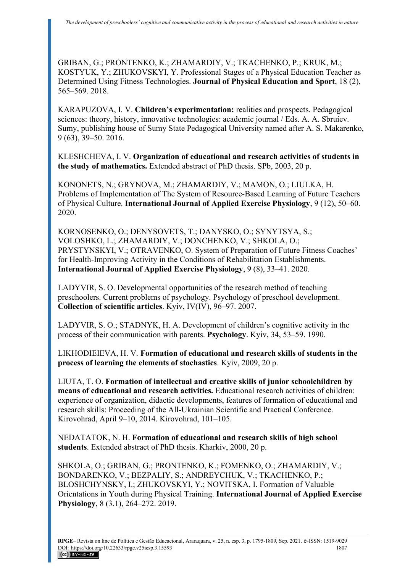GRIBAN, G.; PRONTENKO, K.; ZHAMARDIY, V.; TKACHENKO, P.; KRUK, M.; KOSTYUK, Y.; ZHUKOVSKYI, Y. Professional Stages of a Physical Education Teacher as Determined Using Fitness Technologies. **Journal of Physical Education and Sport**, 18 (2), 565–569. 2018.

KARAPUZOVA, I. V. **Children's experimentation:** realities and prospects. Pedagogical sciences: theory, history, innovative technologies: academic journal / Eds. A. A. Sbruiev. Sumy, publishing house of Sumy State Pedagogical University named after A. S. Makarenko, 9 (63), 39–50. 2016.

KLESHCHEVA, I. V. **Organization of educational and research activities of students in the study of mathematics.** Extended abstract of PhD thesis. SPb, 2003, 20 p.

KONONETS, N.; GRYNOVA, M.; ZHAMARDIY, V.; MAMON, O.; LIULKA, H. Problems of Implementation of The System of Resource-Based Learning of Future Teachers of Physical Culture. **International Journal of Applied Exercise Physiology**, 9 (12), 50–60. 2020.

KORNOSENKO, O.; DENYSOVETS, T.; DANYSKO, O.; SYNYTSYA, S.; VOLOSHKO, L.; ZHAMARDIY, V.; DONCHENKO, V.; SHKOLA, O.; PRYSTYNSKYI, V.; OTRAVENKO, O. System of Preparation of Future Fitness Coaches' for Health-Improving Activity in the Conditions of Rehabilitation Establishments. **International Journal of Applied Exercise Physiology**, 9 (8), 33–41. 2020.

LADYVIR, S. O. Developmental opportunities of the research method of teaching preschoolers. Current problems of psychology. Psychology of preschool development. **Collection of scientific articles**. Kyiv, IV(IV), 96–97. 2007.

LADYVIR, S. O.; STADNYK, H. A. Development of children's cognitive activity in the process of their communication with parents. **Psychology**. Kyiv, 34, 53–59. 1990.

LIKHODIEIEVA, H. V. **Formation of educational and research skills of students in the process of learning the elements of stochastics**. Kyiv, 2009, 20 p.

LIUTA, T. O. **Formation of intellectual and creative skills of junior schoolchildren by means of educational and research activities.** Educational research activities of children: experience of organization, didactic developments, features of formation of educational and research skills: Proceeding of the All-Ukrainian Scientific and Practical Conference. Kirovohrad, April 9–10, 2014. Kirovohrad, 101–105.

NEDATATOK, N. H. **Formation of educational and research skills of high school students**. Extended abstract of PhD thesis. Kharkiv, 2000, 20 p.

SHKOLA, O.; GRIBAN, G.; PRONTENKO, K.; FOMENKO, O.; ZHAMARDIY, V.; BONDARENKO, V.; BEZPALIY, S.; ANDREYCHUK, V.; TKACHENKO, P.; BLOSHCHYNSKY, I.; ZHUKOVSKYI, Y.; NOVITSKA, I. Formation of Valuable Orientations in Youth during Physical Training. **International Journal of Applied Exercise Physiology**, 8 (3.1), 264–272. 2019.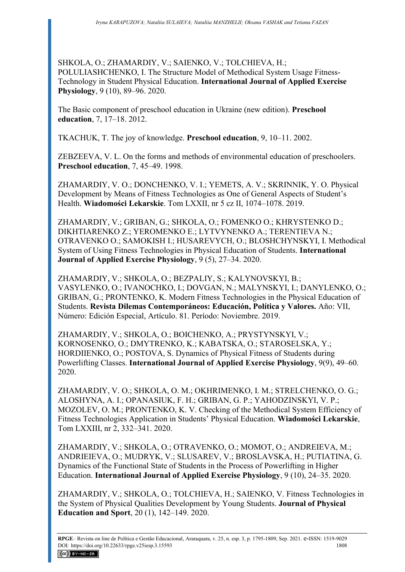SHKOLA, O.; ZHAMARDIY, V.; SAIENKO, V.; TOLCHIEVA, H.; POLULIASHCHENKO, I. The Structure Model of Methodical System Usage Fitness-Technology in Student Physical Education. **International Journal of Applied Exercise Physiology**, 9 (10), 89–96. 2020.

The Basic component of preschool education in Ukraine (new edition). **Preschool education**, 7, 17–18. 2012.

TKACHUK, T. The joy of knowledge. **Preschool education**, 9, 10–11. 2002.

ZEBZEEVA, V. L. On the forms and methods of environmental education of preschoolers. **Preschool education**, 7, 45–49. 1998.

ZHAMARDIY, V. O.; DONCHENKO, V. I.; YEMETS, A. V.; SKRINNIK, Y. O. Physical Development by Means of Fitness Technologies as One of General Aspects of Student's Health. **Wiadomości Lekarskie**. Тom LXXII, nr 5 cz II, 1074–1078. 2019.

ZHAMARDIY, V.; GRIBAN, G.; SHKOLA, O.; FOMENKO O.; KHRYSTENKO D.; DIKHTIARENKO Z.; YEROMENKO E.; LYTVYNENKO A.; TERENTIEVA N.; OTRAVENKO O.; SAMOKISH I.; HUSAREVYCH, O.; BLOSHCHYNSKYI, I. Methodical System of Using Fitness Technologies in Physical Education of Students. **International Journal of Applied Exercise Physiology**, 9 (5), 27–34. 2020.

ZHAMARDIY, V.; SHKOLA, O.; BEZPALIY, S.; KALYNOVSKYI, B.; VASYLENKO, O.; IVANOCHKO, I.; DOVGAN, N.; MALYNSKYI, I.; DANYLENKO, O.; GRIBAN, G.; PRONTENKO, K. [Modern Fitness Technologies in the Physical Education of](https://dilemascontemporaneoseducacionpoliticayvalores.com/_files/200006257-98ff898ffa/EE%2019.11.81%20Tecnolog%C3%ADas%20modernas%20de%20fitness%20en%20la%20educaci%C3%B3n%20f%C3%ADsica%20de.....pdf)  [Students.](https://dilemascontemporaneoseducacionpoliticayvalores.com/_files/200006257-98ff898ffa/EE%2019.11.81%20Tecnolog%C3%ADas%20modernas%20de%20fitness%20en%20la%20educaci%C3%B3n%20f%C3%ADsica%20de.....pdf) **Revista Dilemas Contemporáneos: Educación, Política y Valores.** Año: VII, Número: Edición Especial, Artículo. 81. Período: Noviembre. 2019.

ZHAMARDIY, V.; SHKOLA, O.; BOICHENKO, A.; PRYSTYNSKYI, V.; KORNOSENKO, O.; DMYTRENKO, K.; KABATSKA, O.; STAROSELSKA, Y.; HORDIIENKO, O.; POSTOVA, S. Dynamics of Physical Fitness of Students during Powerlifting Classes. **International Journal of Applied Exercise Physiology**, 9(9), 49–60. 2020.

ZHAMARDIY, V. O.; SHKOLA, O. М.; OKHRIMENKO, I. M.; STRELCHENKO, O. G.; ALOSHYNA, A. I.; OPANASIUK, F. H.; GRIBAN, G. P.; YAHODZINSKYI, V. P.; MOZOLEV, O. M.; PRONTENKO, K. V. Checking of the Methodical System Efficiency of Fitness Technologies Application in Students' Physical Education. **Wiadomości Lekarskie**, Тom LXXIII, nr 2, 332–341. 2020.

ZHAMARDIY, V.; SHKOLA, O.; OTRAVENKO, O.; MOMOT, O.; ANDREIEVA, M.; ANDRIEIEVA, O.; MUDRYK, V.; SLUSAREV, V.; BROSLAVSKA, H.; PUTIATINA, G. Dynamics of the Functional State of Students in the Process of Powerlifting in Higher Education. **International Journal of Applied Exercise Physiology**, 9 (10), 24–35. 2020.

ZHAMARDIY, V.; SHKOLA, O.; TOLCHIEVA, H.; SAIENKO, V. Fitness Technologies in the System of Physical Qualities Development by Young Students. **Journal of Physical Education and Sport**, 20 (1), 142–149. 2020.